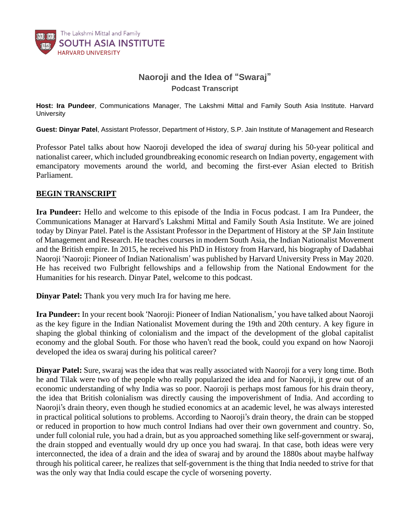

## **Naoroji and the Idea of "Swaraj"** *Podcast Transcript*

**Host: Ira Pundeer***, Communications Manager, The Lakshmi Mittal and Family South Asia Institute. Harvard University*

**Guest: Dinyar Patel**, *Assistant Professor, Department of History, S.P. Jain Institute of Management and Research*

Professor Patel talks about how Naoroji developed the idea of *swaraj* during his 50-year political and nationalist career, which included groundbreaking economic research on Indian poverty, engagement with emancipatory movements around the world, and becoming the first-ever Asian elected to British Parliament.

## **BEGIN TRANSCRIPT**

**Ira Pundeer:** Hello and welcome to this episode of the India in Focus podcast. I am Ira Pundeer, the Communications Manager at Harvard's Lakshmi Mittal and Family South Asia Institute. We are joined today by Dinyar Patel. Patel is the Assistant Professor in the Department of History at the SP Jain Institute of Management and Research. He teaches courses in modern South Asia, the Indian Nationalist Movement and the British empire. In 2015, he received his PhD in History from Harvard, his biography of Dadabhai Naoroji 'Naoroji: Pioneer of Indian Nationalism' was published by Harvard University Press in May 2020. He has received two Fulbright fellowships and a fellowship from the National Endowment for the Humanities for his research. Dinyar Patel, welcome to this podcast.

**Dinyar Patel:** Thank you very much Ira for having me here.

**Ira Pundeer:** In your recent book 'Naoroji: Pioneer of Indian Nationalism,' you have talked about Naoroji as the key figure in the Indian Nationalist Movement during the 19th and 20th century. A key figure in shaping the global thinking of colonialism and the impact of the development of the global capitalist economy and the global South. For those who haven't read the book, could you expand on how Naoroji developed the idea os swaraj during his political career?

**Dinyar Patel:** Sure, swaraj was the idea that was really associated with Naoroji for a very long time. Both he and Tilak were two of the people who really popularized the idea and for Naoroji, it grew out of an economic understanding of why India was so poor. Naoroji is perhaps most famous for his drain theory, the idea that British colonialism was directly causing the impoverishment of India. And according to Naoroji's drain theory, even though he studied economics at an academic level, he was always interested in practical political solutions to problems. According to Naoroji's drain theory, the drain can be stopped or reduced in proportion to how much control Indians had over their own government and country. So, under full colonial rule, you had a drain, but as you approached something like self-government or swaraj, the drain stopped and eventually would dry up once you had swaraj. In that case, both ideas were very interconnected, the idea of a drain and the idea of swaraj and by around the 1880s about maybe halfway through his political career, he realizes that self-government is the thing that India needed to strive for that was the only way that India could escape the cycle of worsening poverty.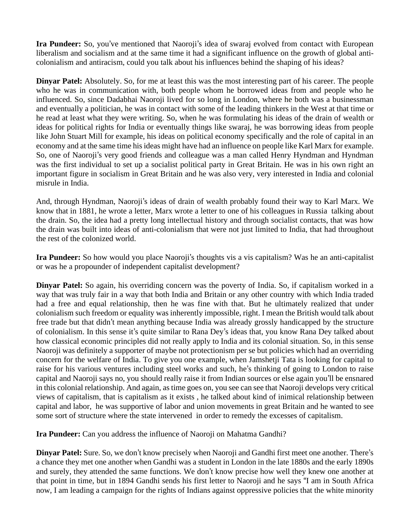**Ira Pundeer:** So, you've mentioned that Naoroji's idea of swaraj evolved from contact with European liberalism and socialism and at the same time it had a significant influence on the growth of global anticolonialism and antiracism, could you talk about his influences behind the shaping of his ideas?

**Dinyar Patel:** Absolutely. So, for me at least this was the most interesting part of his career. The people who he was in communication with, both people whom he borrowed ideas from and people who he influenced. So, since Dadabhai Naoroji lived for so long in London, where he both was a businessman and eventually a politician, he was in contact with some of the leading thinkers in the West at that time or he read at least what they were writing. So, when he was formulating his ideas of the drain of wealth or ideas for political rights for India or eventually things like swaraj, he was borrowing ideas from people like John Stuart Mill for example, his ideas on political economy specifically and the role of capital in an economy and at the same time hisideas might have had an influence on people like Karl Marx for example. So, one of Naoroji's very good friends and colleague was a man called Henry Hyndman and Hyndman was the first individual to set up a socialist political party in Great Britain. He was in his own right an important figure in socialism in Great Britain and he was also very, very interested in India and colonial misrule in India.

And, through Hyndman, Naoroji's ideas of drain of wealth probably found their way to Karl Marx. We know that in 1881, he wrote a letter, Marx wrote a letter to one of his colleagues in Russia talking about the drain. So, the idea had a pretty long intellectual history and through socialist contacts, that was how the drain was built into ideas of anti-colonialism that were not just limited to India, that had throughout the rest of the colonized world.

**Ira Pundeer:** So how would you place Naoroji's thoughts vis a vis capitalism? Was he an anti-capitalist or was he a propounder of independent capitalist development?

**Dinyar Patel:** So again, his overriding concern was the poverty of India. So, if capitalism worked in a way that was truly fair in a way that both India and Britain or any other country with which India traded had a free and equal relationship, then he was fine with that. But he ultimately realized that under colonialism such freedom or equality was inherently impossible, right. I mean the British would talk about free trade but that didn't mean anything because India was already grossly handicapped by the structure of colonialism. In this sense it's quite similar to Rana Dey's ideas that, you know Rana Dey talked about how classical economic principles did not really apply to India and its colonial situation. So, in this sense Naoroji was definitely a supporter of maybe not protectionism per se but policies which had an overriding concern for the welfare of India. To give you one example, when Jamshetji Tata is looking for capital to raise for his various ventures including steel works and such, he's thinking of going to London to raise capital and Naoroji says no, you should really raise it from Indian sources or else again you'll be ensnared in this colonial relationship. And again, as time goes on, you see can see that Naoroji develops very critical views of capitalism, that is capitalism as it exists , he talked about kind of inimical relationship between capital and labor, he was supportive of labor and union movements in great Britain and he wanted to see some sort of structure where the state intervened in order to remedy the excesses of capitalism.

**Ira Pundeer:** Can you address the influence of Naoroji on Mahatma Gandhi?

**Dinyar Patel:** Sure. So, we don't know precisely when Naoroji and Gandhi first meet one another. There's a chance they met one another when Gandhi was a student in London in the late 1880s and the early 1890s and surely, they attended the same functions. We don't know precise how well they knew one another at that point in time, but in 1894 Gandhi sends his first letter to Naoroji and he says "I am in South Africa now, I am leading a campaign for the rights of Indians against oppressive policies that the white minority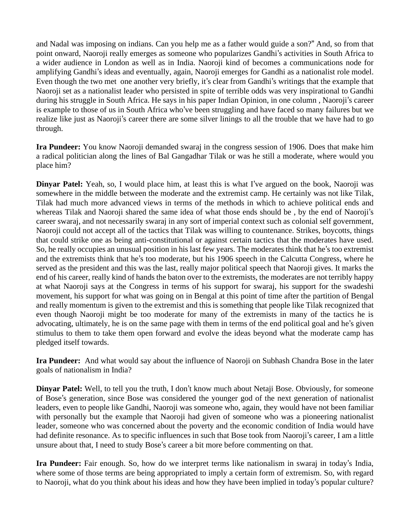and Nadal was imposing on indians. Can you help me as a father would guide a son?" And, so from that point onward, Naoroji really emerges as someone who popularizes Gandhi's activities in South Africa to a wider audience in London as well as in India. Naoroji kind of becomes a communications node for amplifying Gandhi's ideas and eventually, again, Naoroji emerges for Gandhi as a nationalist role model. Even though the two met one another very briefly, it's clear from Gandhi's writings that the example that Naoroji set as a nationalist leader who persisted in spite of terrible odds was very inspirational to Gandhi during his struggle in South Africa. He says in his paper Indian Opinion, in one column , Naoroji's career is example to those of us in South Africa who've been struggling and have faced so many failures but we realize like just as Naoroji's career there are some silver linings to all the trouble that we have had to go through.

**Ira Pundeer:** You know Naoroji demanded swaraj in the congress session of 1906. Does that make him a radical politician along the lines of Bal Gangadhar Tilak or was he still a moderate, where would you place him?

**Dinyar Patel:** Yeah, so, I would place him, at least this is what I've argued on the book, Naoroji was somewhere in the middle between the moderate and the extremist camp. He certainly was not like Tilak, Tilak had much more advanced views in terms of the methods in which to achieve political ends and whereas Tilak and Naoroji shared the same idea of what those ends should be , by the end of Naoroji's career swaraj, and not necessarily swaraj in any sort of imperial context such as colonial self government, Naoroji could not accept all of the tactics that Tilak was willing to countenance. Strikes, boycotts, things that could strike one as being anti-constitutional or against certain tactics that the moderates have used. So, he really occupies an unusual position in his last few years. The moderates think that he's too extremist and the extremists think that he's too moderate, but his 1906 speech in the Calcutta Congress, where he served as the president and this was the last, really major political speech that Naoroji gives. It marks the end of his career, really kind of hands the baton over to the extremists, the moderates are not terribly happy at what Naoroji says at the Congress in terms of his support for swaraj, his support for the swadeshi movement, his support for what was going on in Bengal at this point of time after the partition of Bengal and really momentum is given to the extremist and this is something that people like Tilak recognized that even though Naoroji might be too moderate for many of the extremists in many of the tactics he is advocating, ultimately, he is on the same page with them in terms of the end political goal and he's given stimulus to them to take them open forward and evolve the ideas beyond what the moderate camp has pledged itself towards.

**Ira Pundeer:** And what would say about the influence of Naoroji on Subhash Chandra Bose in the later goals of nationalism in India?

**Dinyar Patel:** Well, to tell you the truth, I don't know much about Netaji Bose. Obviously, for someone of Bose's generation, since Bose was considered the younger god of the next generation of nationalist leaders, even to people like Gandhi, Naoroji was someone who, again, they would have not been familiar with personally but the example that Naoroji had given of someone who was a pioneering nationalist leader, someone who was concerned about the poverty and the economic condition of India would have had definite resonance. As to specific influences in such that Bose took from Naoroji's career, I am a little unsure about that, I need to study Bose's career a bit more before commenting on that.

**Ira Pundeer:** Fair enough. So, how do we interpret terms like nationalism in swaraj in today's India, where some of those terms are being appropriated to imply a certain form of extremism. So, with regard to Naoroji, what do you think about his ideas and how they have been implied in today's popular culture?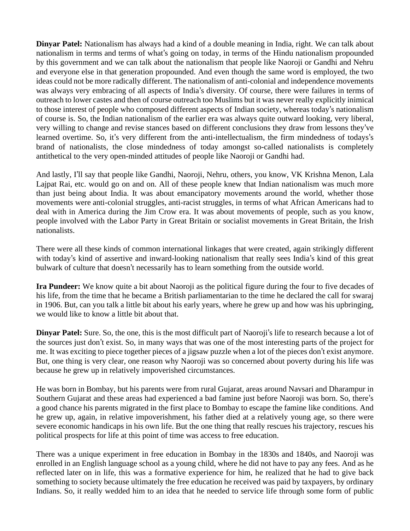**Dinyar Patel:** Nationalism has always had a kind of a double meaning in India, right. We can talk about nationalism in terms and terms of what's going on today, in terms of the Hindu nationalism propounded by this government and we can talk about the nationalism that people like Naoroji or Gandhi and Nehru and everyone else in that generation propounded. And even though the same word is employed, the two ideas could not be more radically different. The nationalism of anti-colonial and independence movements was always very embracing of all aspects of India's diversity. Of course, there were failures in terms of outreach to lower castes and then of course outreach too Muslims but it was never really explicitly inimical to those interest of people who composed different aspects of Indian society, whereas today's nationalism of course is. So, the Indian nationalism of the earlier era was always quite outward looking, very liberal, very willing to change and revise stances based on different conclusions they draw from lessons they've learned overtime. So, it's very different from the anti-intellectualism, the firm mindedness of todays's brand of nationalists, the close mindedness of today amongst so-called nationalists is completely antithetical to the very open-minded attitudes of people like Naoroji or Gandhi had.

And lastly, I'll say that people like Gandhi, Naoroji, Nehru, others, you know, VK Krishna Menon, Lala Lajpat Rai, etc. would go on and on. All of these people knew that Indian nationalism was much more than just being about India. It was about emancipatory movements around the world, whether those movements were anti-colonial struggles, anti-racist struggles, in terms of what African Americans had to deal with in America during the Jim Crow era. It was about movements of people, such as you know, people involved with the Labor Party in Great Britain or socialist movements in Great Britain, the Irish nationalists.

There were all these kinds of common international linkages that were created, again strikingly different with today's kind of assertive and inward-looking nationalism that really sees India's kind of this great bulwark of culture that doesn't necessarily has to learn something from the outside world.

**Ira Pundeer:** We know quite a bit about Naoroji as the political figure during the four to five decades of his life, from the time that he became a British parliamentarian to the time he declared the call for swaraj in 1906. But, can you talk a little bit about his early years, where he grew up and how was his upbringing, we would like to know a little bit about that.

**Dinyar Patel:** Sure. So, the one, this is the most difficult part of Naoroji's life to research because a lot of the sources just don't exist. So, in many ways that was one of the most interesting parts of the project for me. It was exciting to piece together pieces of a jigsaw puzzle when a lot of the pieces don't exist anymore. But, one thing is very clear, one reason why Naoroji was so concerned about poverty during his life was because he grew up in relatively impoverished circumstances.

He was born in Bombay, but his parents were from rural Gujarat, areas around Navsari and Dharampur in Southern Gujarat and these areas had experienced a bad famine just before Naoroji was born. So, there's a good chance his parents migrated in the first place to Bombay to escape the famine like conditions. And he grew up, again, in relative impoverishment, his father died at a relatively young age, so there were severe economic handicaps in his own life. But the one thing that really rescues his trajectory, rescues his political prospects for life at this point of time was access to free education.

There was a unique experiment in free education in Bombay in the 1830s and 1840s, and Naoroji was enrolled in an English language school as a young child, where he did not have to pay any fees. And as he reflected later on in life, this was a formative experience for him, he realized that he had to give back something to society because ultimately the free education he received was paid by taxpayers, by ordinary Indians. So, it really wedded him to an idea that he needed to service life through some form of public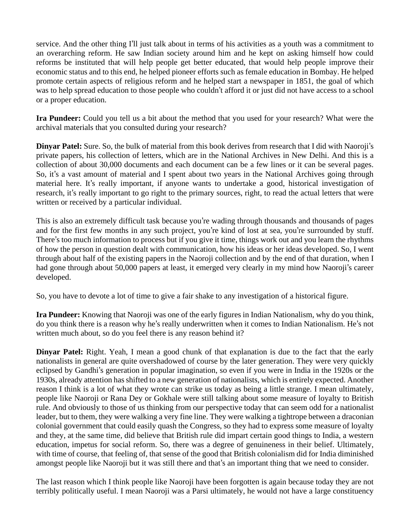service. And the other thing I'll just talk about in terms of his activities as a youth was a commitment to an overarching reform. He saw Indian society around him and he kept on asking himself how could reforms be instituted that will help people get better educated, that would help people improve their economic status and to this end, he helped pioneer efforts such as female education in Bombay. He helped promote certain aspects of religious reform and he helped start a newspaper in 1851, the goal of which was to help spread education to those people who couldn't afford it or just did not have access to a school or a proper education.

**Ira Pundeer:** Could you tell us a bit about the method that you used for your research? What were the archival materials that you consulted during your research?

**Dinyar Patel:** Sure. So, the bulk of material from this book derives from research that I did with Naoroji's private papers, his collection of letters, which are in the National Archives in New Delhi. And this is a collection of about 30,000 documents and each document can be a few lines or it can be several pages. So, it's a vast amount of material and I spent about two years in the National Archives going through material here. It's really important, if anyone wants to undertake a good, historical investigation of research, it's really important to go right to the primary sources, right, to read the actual letters that were written or received by a particular individual.

This is also an extremely difficult task because you're wading through thousands and thousands of pages and for the first few months in any such project, you're kind of lost at sea, you're surrounded by stuff. There's too much information to process but if you give it time, things work out and you learn the rhythms of how the person in question dealt with communication, how his ideas or her ideas developed. So, I went through about half of the existing papers in the Naoroji collection and by the end of that duration, when I had gone through about 50,000 papers at least, it emerged very clearly in my mind how Naoroji's career developed.

So, you have to devote a lot of time to give a fair shake to any investigation of a historical figure.

**Ira Pundeer:** Knowing that Naoroji was one of the early figures in Indian Nationalism, why do you think, do you think there is a reason why he's really underwritten when it comes to Indian Nationalism. He's not written much about, so do you feel there is any reason behind it?

**Dinyar Patel:** Right. Yeah, I mean a good chunk of that explanation is due to the fact that the early nationalists in general are quite overshadowed of course by the later generation. They were very quickly eclipsed by Gandhi's generation in popular imagination, so even if you were in India in the 1920s or the 1930s, already attention hasshifted to a new generation of nationalists, which is entirely expected. Another reason I think is a lot of what they wrote can strike us today as being a little strange. I mean ultimately, people like Naoroji or Rana Dey or Gokhale were still talking about some measure of loyalty to British rule. And obviously to those of us thinking from our perspective today that can seem odd for a nationalist leader, but to them, they were walking a very fine line. They were walking a tightrope between a draconian colonial government that could easily quash the Congress, so they had to express some measure of loyalty and they, at the same time, did believe that British rule did impart certain good things to India, a western education, impetus for social reform. So, there was a degree of genuineness in their belief. Ultimately, with time of course, that feeling of, that sense of the good that British colonialism did for India diminished amongst people like Naoroji but it was still there and that's an important thing that we need to consider.

The last reason which I think people like Naoroji have been forgotten is again because today they are not terribly politically useful. I mean Naoroji was a Parsi ultimately, he would not have a large constituency